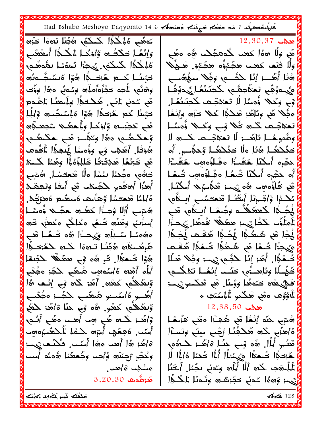Had Bshabo Meshoyo Daqyomto 14.6 مَدْسَمَةُ mad Bshabo Meshoyo Daqyomto 14.6

مُمَعَى مَلِكُمُ! كَمَكُمْ هُجُمًا نَمْهَا خَرْه واِنُعُـا حَكْتُـ۞ وَٰاٰوَىٰـا لِمَـٰـٰٰٓٓا ٱمعُعَـٰبِ رمعةُ مصَّا لتَمْتَ ابْجِرِزَ , رِمْكَنْكُمْ الْمُكْلِمَةِ الْمَسْتَمَاءِ مَنْ حَبُسُـا كَـــــم هَـٰٓنِكِـــدا هُوْا هَسْمَـــُـــمهُ وَهْلُو ۚ الْجِمَ حَجُّزُهِٱوهِۚ وَمِّحَابُ ۚ وَاللَّهُ ۚ وَوَّحَابُ هَم عَمهُ لَمُبٍ. هَكَتَمُ! وَلَمَعْنَا لَمَقُوم حَبَّىنًا كَمِ هَٰٓحَدًا هُوۡا هَٰلِمَـٰحَمِـهِ وَٱلۡمَٰٓا هْمِ تَدِّزَمِهِ وَاٰذِكَمَا وَلَمِعَكُمْ مَتِصِدْلِهِ وَمِكْمَدُمٍ وَهَا وَيَذَمَــز قَبِ هَكَـمُدِم هُوْتُا. أَهُدْب فِي وِؤْمِيْا لِمُبْدِدًا لْمُقَمَّد هْمِ خَرْبُهُا هُدِفَرْدُا خَلِلِؤُهُلُا وَهَٰنَا كَـٰذَا خۇە ەجُمْا بىُسْا ەلْا ش**ە**تىسا. شىتې أُهْزًا أَهْفُمِ لِحَمْنَاتٍ هُمْ أَمْثًا وَتَعِمْدِ ەُلِكُمْ شَعْصَمُا وَحَزَّىمَا ەَسْعَىمْ وَمَرَجَّجْهِ. هُمْنِ ٱلْأَلَمِ وُحِيرًا كَعُدِهِ حَجَّلا وُمِنْدًا إسْتُلْبُ وَهْلُهُ شَمْعٍ وَلَالُكُمْ وَلَاهُلُهُ فَاللَّهُ ەھەئا مىزاھ ئىجار ھە ئىما ئى هُبِهُــنكَمُ هُجُنُـا تَــ30 لَــُــهِ لِــمَّـنَـــِـهِۗا هُوَا تُبْعَدُا. ثُمّ هُو فِي مِطْلًا لِكَبْتَهَا لَمَاه أَهْدَه هَ السَّمَوت هُبعَكَم لَلْجُزْ وَجُنَّمِ وَسِكَلاَمٍ كَنْقُرُهِ. أَهُذِ كُلُّهِ فِي إِنْكَ هَٰا أَهُــبرِ ةَامَنْــبر هُـعَنــب للجَـــ; هجُنْـب وَّىعَكْفُو كَعَيْرٍ. ۞ه وْج حَبَّا ةَ/هَٰ: حَجَّ وْاهُد: كَلُّـــهِ هَٰـــ مِن أهلــــ هَهُـــ أَنَّــمٍ أَمِّد. هُجِعَجِ أَجْ هَ حَدُا أَحْقُدَ وهَ ةَاهَٰ: 16 أَهَد 160 أَمَد. تَكْلُّمَا: ْوَكُنْتِي رَجِئْلُه وُٰاجِب وَجُعِظَنَا ۞هُ اُمِّت ەمگىلەت ۋاھىس  $3.20.30$   $\omega$ 

تلنابه بالمتلكم سأم تلفظة

محكم 37.30.37 هُم وَلَا هؤا كَعَبَ كُوهِجُكَ وَهُ وَهُم وَلًا تُلْف كَعَب هجَنُزْوُه هجَنَرْوْ. هَـجُلًا هُنُا أُهَّـــز إِنَّا حَجَّـــمٍ وَجَّلا مِنْهُهُــبِ الْمُهْمَرُ لِمُسْتَكَلِّ رِمَثْمَكُمْ بَعْقُومَ رَبُّهِ وَقُوْمِرِيْهِ أَوْمٍ وَكَلا وُّوسُا لَا تَعَلاجُت كَجَنَّسُمَا. هِ أَبْلاَ هُمْ وَتَلَهُّ: مَعْلَمُ! كَلا حَزْهِ وَإِنْعُا تَعْلَاجُـتْ كَــْدْ `فْلا أَوْبَ وَكَــْلا ۚ وُّدْسُـا وَهُومِهُــا نُاهَـــ: لَا تَعْذَبْـــب ذَــْ بِهِ لَٰا حَكْكُما هُنُا هِلًّا حَكُكْمًا وَّحَدُّب. أَه حجْره أُحكْنُا هَقَـزُا هِقَاؤُهِ هَـ هَقَـرْا أَه حجْره أَمكْنُا خُمها هِجَاؤُهِ وَصَدَا هْمِ قُاؤُهِ هِ وَ يَهْمِ شَهْرَ مِهْ أَسْكُنَا. كحشا وُاجْبِرْنَا أَيضُا هُمْصَيْبِ ابْنَاهِ هُجُـٰٰٓءُا ۖ كَعفَكُـُـٰهِ ۖ وَجُـٰهَـٰا ﴾ اللَّهُ وَ هُـٰـمِ أَمْتُمَنَّ الْمُعَظُّلًا فَعَقَّلُوا فَكُمَّةٍ مِنْ الْمَكْسَبِينَ الْمَعْدَةِ الْمَعَامَةِ الْمَعَ لَجُلْ هَي هُـمْكُمُّا لُمُجُـمُّا هُـْقَـمَـ لُمُجُـمُّا أَيْجِزًا خَيْعًا هُو هُيعُدًا خَيْعُدًا هُدَيْتِ تَصَعُدًا. أَهَٰذِ }ِنًا كَثِّبٍ يَهِمْ: وَجَّلا شَمَّا تَّكُمِكُما وَتَلْحَدُوْهِ حَتَــٰ إِنَّعُــا تَمْكُــو ْݣَىٰٓݣُوه حَمَّمُوا وَوَّىلاً. ثَمَّ تَعْكُسْوِيْنِ مَنْ الْمَرْضَى أَأَآؤَوُّهَا وَهُمْ شَكْتُو أَلْبَامَنَّتِ \*  $12.38.50$   $\Delta\omega$ المُشِي حدَه إِنَّهُا هُي هُجِنَّا وَهْيِ قُبُنُهَا ةُ/هنَّعِ لَكُمْ هَٰكُمُّكُمْ رُجَّعِ مِنِّعٍ وَتَسْأَل تَعْنُـبِ أَلَمَالٍ ، هُ٥ وْبِ حَنُـا هَاهَــٰٓ كَــْهُ٥ و لَّهُ الْمَاهُ الْمَحْمَالِ الْمَالِمُ الْمُعَمَّا وَالْمَالَ الْمَالِمِينَ وَالْمَالِمُ الْمَالِمُ ا َلْلَهِ هُو ٱللَّهُ أَبْلَىٰ وَحَوبُ بِجَمْلِ أَيْخَبُلْ أَيْبٍ وَهُوَا سُوءٍ مِكْبَرْهُـ مِنْـُولًا لَمْـكُــدًا  $\sqrt{4}$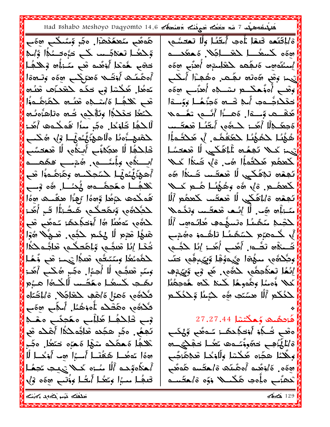Had Bshabo Meshoyo Daqyomto 14.6 مَلْمَتْلَكُمْ mad Bshabo Meshoyo Daqyomto 14.6

ھُوھُبِ مُعطَّدُهَ ۚالَّ وَجَزٍ وَمُنَكَّبٍ وَهُب وَّكْتُمَا تَعْكَسُتْ كُلِّ دَءُّەتْسَكُمَّا وَّاٰكُمْ حَدَّى هُدَىٰا أُوْهُده هُــ مُــٰزِلُه وُحْلَـٰهِـا أَههَّسَّـه أُوْتَــد هَمْوَجْــم ههَه وِتَــهةا عَمُداً. مَكْسًا فِي حَكَم حَشَدَوَه هَنُـهِ هَــِ ۚ لَكَـفًـا هُ/سْــدِه هَنُــه كَـمَزَهُــموُّا َكْتَعُلُّ حَكْكُمُّا وَلَأَلَكِمٍ خُــْهِ وَلَاهِنُوسُهِ ٱللخَفَّا خَاوْخًا. وَجَرِ مِثَلَ قَوْحُوهِ أَهَدَ خَلِّكَجُا لَا مِجَكَّوَّبٍ أَبِـٰكُوں لَّا مُعصَّمَب استئمی وأمئس ، هُمْيس قفهسم أَهِجْزُهُنُوهُــا ۖ حَسَّجِكْـــهِ ۖ وَهَٰزَهُــوزُا ۚ هَبِ تَكْلِّبُ مَهْجَمَّـــە » بُحنُــا. ۞ه وْــــــــو كَمكْمِ حَبْعُدا وَهُ الْهِجُوا مَقَسِمَهِ هُوَا لحَبْكَثُوهِ وَبِمَحكُمٍ هَيصُرْمَا فَ أُهُرْ لِحَقُّوبِ مُعَمُّدًا مَا أَوْتِجَاحِظَ; مُعقِّبٍ هَي هْبِهَا مْعِرِمِ لَا كِحُبِمِ حَجَّمٍ. مَحِمُّلا هُوْا َخُدًا إِنَّا هَبِيُّمٍ وَلِمَحَكَّمٍ هَاجُّـمَحْلًاا لَـهُمْ مِـهُ سَـرِيَّ الْمِنهَ رِمِثْمَنْمَةِ الْمُدْمَثْمَـ وَسَمْ قُلْبُهِم لَا أُجِبُراً. وَجُمْ وَهُكُم أَهَٰذَ يقب كبيعًا ممَّصَّب لَّاجُدهُ! هـَزْم كَلْهُم، هَمْزَلْ هَ/هْڢْ لْمَعْلِظُمْ. هَ/لِمَّمَّاه ثَلاةُه، همَّتْلُم نْأُهوْهُمُّا. أَسْلَمِي ههَي وْبِ خْلِكْفُـا هَٰلِلْبِ مَعۡجَنُبِ مَعۡـهِ تَجِعُى وَجَرٍ هِجُدِهِ ثَعَاجُهِ حَكُمًا أَهْلِهِ ثَبِي تَكْلَّفُا هُـعَمَّكُمْ شَهْا هُـعَهُمْ فَمَعْلَى وَجَّـعِ هِهُا مُوهُــا هُـُقُـْـا أَـــبُرا هــ أَذْكــا لُا أَهْجَدَ صَعِينَ كَمِيعَةَ مَنْ الْأَوْسِطِينَ مَجْمَلَةً َّقْتُفِظْ مِنْ الْمِتْكُمْ أُمْثُلُ وَوُّلْبٍ وَوَّهُ وَإِنْ تشاوبهم بالحاظر بمابة تشاهده

وْالْمُقْعَمْ قْتَهَا أُوْجِدٍ أَيْقُلُا وِلَّا تَعْصَفُونَ 000 كَسِعْكَ حَمْدَاجَلاً, مُعْقَدَد إسسُلُه و مَا عَلَّهُ مَسْتَرَدٍ مَنْ مَعْهِمِ الْيَهِمْ وَهُمْ رَهُودُه بِكَيْمٍ، وَهُجِبْزَا أَمْكَنِي وَهْبِ أُهوُّهكُـــم تَسْتَبْهِ أَهزُّنِبِ وَهَهِ |حَكَلاجُـــوب أَلم خْـــره وَجَزَهُـــل وَوَّــــوَا هُقَـــم وَّـــــةَ أَنْ مَـــزًا أَنَّــمٍ تَعْـــمَــلا |مَجعَـــجِلًا أَهَـــز ــــــوهُ أَمتَكُــل هَـعتَـــب هُهُلَا حَمُّهُلَا حَمَّقُهُم ﴾ مَحْقُمًا أَيْهِمْ كَحِلًا تَجِهُرِهِ غُلِرْهَكِي لَا شَعْدَسُا ۖ لْكَعِثُمِ مُحْثُمِلًا هُـ وَلِي ضَمَّا لَحِـلا أَنَّهِمُه ثَدِّفُكُنِي لَّا شَعْفُسَ ضَمْلًا هُه كَعدُه , 3)، ۞ وَهُمُنَا هُـم كَـــلا تَّفِعُه هَ/بافَكِي لَا شَعتَب كَعمُم ٱلْأ مَنْـزَلُم هَيْـ أَلَمْ إِنْـم هُمكَــب وَتَنْـمَلا لِكْتِمِيمْ مُنْصَّمُلُ وَتَسَهُّدِهِ هُلِّكُدُومِ ٱلْأَ أَلَّهِ كَــومَبُوم لِــمَنفَسُــا تَاهُــوو وهُـثَرِـــع َضَــٰذُاه تَشُــه, أَهُب أُهُــ: إِنّا لِكَشِــهِ لَّذَ مِفْدِيْرَةٍ لِمَوْمِيْنِ الْمَهْمَد مِنْ أَمَّةٍ مِنْ مَنْ إِيُّهُا تَعَذَّجِعُوا كَلُّهُوا. هُو فِي وَّيُجْرَفِ كَمِلًا ۚ وَْمِمُا وَهُمُوهُا كَمِنَا كَلَّهِ ۖ هُمَجِمُلًا | كَنُكُم ٱللَّا هِنَّنَجِي ۞ُو كَبْتُلْ وَكَنْكُـمِ | هُزمهُمِ وُهِكْتِسْل 27.27.44 ەھْب تُــكُمْ أُوْتـكُلِـدْهُـــز سُــەھُـب وَّلِيْكُـب ةَالْمَأْهِبِ دَهُوفُّسُـهِ مُعُــا دَهْلُهُـــ« وِلْكِنَا هِجَزِهِ مَكْسًا وِلَاوْحُـا هُـْهِمَّرْجُب ادة من أرومًا من المؤسس من المنصب من الله عنه من الله عنه من الله عنه الله عنه من الله عنه من الله ع تَعْقَنُبِ وَأَوْدِ هَكْسُلاً وَوَّهِ وْأَحْشَسْتُ  $\frac{129}{129}$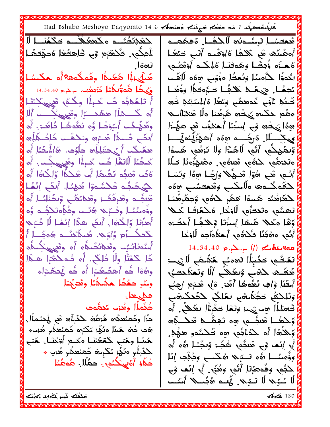Had Bshabo Meshoyo Daqyomto 14.6 مَلْمَتْلَكَمْ Had Bshabo Meshoyo Daqyomto 14.6 لِمَعْلِمَحُنُـــهِ مِكْعِعَلاً مِ حَكْمُنْــا لُل مْعْصَمُــا بْہِمُــٰهُ لْالْحَفُــا. ەَقِھَٰڡــَ نْأَحِكُمِ. فَكَنْفَرْمِ فِي خَاهِقُعُا هَجِهْتَهُا. أَههُنَّه هُم نُكْجُلُ هَاوْقَىـهِ أَنَّى حَنَّعُـلَ هَـمـزُه وُجحْـا وهُمحُنْـا هَالِكْـم أُوْهْلُـم ္)စံတံ هَيْلَى:إِلَمْ هَهَيْدُا وِفَوَجَّوهِ؟ أَو حَكْيَمًا الْكَوْا ۖ لِأَوْمِنُا وَنُعَجُّا وَوُّقِ ۖ وَوَّهُ لَلْأَفَـٰ ی کُل هُوتُر مُثل دُومُوْب. بِ.دِ.م 14.34.40 مَّحِمُـل ۞ هُـمُـمْ نَكْـهُـل حَـمُّودَهُّلَ وَذُهُـل َّضَلُّمْ لْمُؤْبَّ نُدْهِدْهُمْ وَعُمُّا ةَ/لِمْمَرْمُمْ ذُرُه أَ تَلْعَٰلاَبُه حُب حُبِلًا وِكْمَ ۚ شَيْئٍكُمْ لَهُ مصَالَكَ الْمَعْ الْمَعْيَدُ مِنْ مَشْرَبَهِ مِنْكُمْ مِنْهُمْ انْبَهُه بَهْ يَهْمَمُ الْمُنْظَرِّا مِعْمَرَّاهُمِ ومَّكَمِّكُت أُمَّ وَدُا وُه يُعْدَّهُا ذُاهَٰ : ، أَه أَنضَ ضَـٰماً هَــْرَه وتكـفُـــٰ خَاخُــكَلَبُه لِكُمِيْكُمُ أَمْضِ هُمْ الْسَكِّرِيَّ هِمَّكُ أَيْحَتَٰلِمُ حَأْوُدٍ. هَٰالْمُحَبَّلِ أَه وَّىعَجِحْمٍ أَثَمٍ لَاهُنْزَا وَلَا تَرْهُومٍ هَسْوَا كْبْحُبْا لِّالْغْا جُبْ جُبْرًا وْفْيِهِكْبْ. أَيْ وتَدرَهُم، لِدَوُّه، وَسَوُّه، وهُبِدُونًا صَلَّا هَكَ هَبِيُّه تَعْبِطُا أَبِ هَكُمْا وَالْحُوَّا أَه أَنَّــْمِ شَيْ شُوْٓا شَــٰهُٰلا وَرُضًا هِمَّا وَنُسْـا لِحَيْضَةِ وَحَسَّوَا مَّذِيا. أَنْفَى إِنْهَا لحَقَّدهُـده دَلَامِكْبِ وَتَعْمَصْبُبِ 50\$ه هْبَيْــه وهْرِهُكُــ; وهْلاَعْكُــ وْبِكْتُلْــٰل أَه لمَعْزِهُدُه هَسَهُ وَهُمْ لِمَوْهِ وَجِعْرِهُمْ ا تعشَى وتحتَّوي لَّاوْخَا. وَحَ**مَ**ْطُ حَمَّلَا وؤْمِنْنُنَا وَضُبِّيهِ وَكُلِّمَا وَظُلِّمَاتُكُمْ وُهِ وَّقَا مَكْلًا هَيْقَا إِيبَٰرْنَا وْجْلَافًا أَحْجَـٰزَه أَهْزُنَا وَالْحُدَّا. أَبِكَ هِمَّا إِنْهُا لَا دُعِيهِ لْكَفْكُرُمْ وُ*أَوَّىْ*. مُحَذَّكْشُتْ هُوَجًا *أَ* أَلَّه وَهُكِنَا ثَكْلُهُم أَهْلَاهَ أَمْهَا الْمَحْلَمَ أَمْدَىٰلٰا*نَدٖ*۫ٮ وقدا*نَحْم*دُّہ <sup>ہُ</sup>ہ وقی<sub>ح</sub>یٰکُمدُّہ 14.34.40 p., (1) (1) كَا كَمُتْا وِلًا دُلِكَ. أَه شَمكعْدَا هِـدْا مَسْرَءُ الْمَحْمَدُ بِدْهِ مَكْسَمًا لِلْبِنْتَ رِمَتْمَمَّا هُقَــهِ لِـ3ْمَــ وَنفَعَــ ٱلْلَّهِ وَتَعْذَلُحَــ بِهِ وَهُوَا هُو أَهْقُبْطُمْ إِلَى هُو هُعْظُمْ إِنَّهُ ومئر حمَّحًا حدَّمتًا ومْتزجْنًا أَمْثَلُا وُافِ نُعْدَهُا أَهَٰذٍ. 1ْ﴾ شَـُرْم رُحِبُ وِنَاحِفُ حَجُكُمِهِ سَمَاحُي حَجَّحَكُمهِ ماعر مه دُفَّمَٰأُا وهُزب مُحقَّوت أَخْتَمَلَٰهُ! ۞ فَيَ وَتَمْا حَثَيْنًا! نَعَكُمْ. أَهْ دَٰا وحُمنُعدَٛ۞ هُزمُ۞ حَدَّرِٱ۞ مَّع لُحِدَّءاُل. وَحْمَدًا مَعبَّــم، من تَجمَّـــمْ مَحْــــمُ م هَٰت خُهْ هُنا مَنَهُ: عَنْدُم خَمْتَعَدُم هُٰ:۔ \* أَوَّلِكُمُّا أَه لِكُمْلِثُمِ هو تُكْسُّمُو هِجُمْ. هَسُا وهَتب كَمْعَنْنَا مَحْم أَوْحُنَا. هُتب إْلَى إِنَّمَا فِي هُدَيْمٍ هُجُـ: وَتَجَنَّا هُ٥ أَ٥ لْحَدَّبِلُرِ دَنَّهُ; عَجْبِـةَ خَعَنْعَكُرِ هُـْتِ \* وَوْْهِشَا ۞ه نَـــُرِّيه ۞هكنب وَجُبْنِي إِنَّا حُكُو آهَ بِكُنُو، حِمُلًا. هُومُنْا لِكَبُّفٍ وَهُوَدَيْنَا أَنُّفٍ وَهُنَّى ۚ ﴾ إِنَّفَ وُبِ لًا سُبَرِي لًا تَسَرِيمَ. يُمِنه هُجُنني أَمّنت تشاوبهم بالحاظر بمابة تشاهده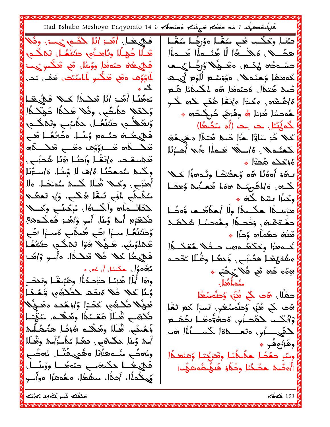Had Bshabo Meshoyo Daqyomto 14.6 مَسْتَعْلَمَ A.shabo Meshoyo Daqyomto 14.6 مَسْتَعْلَمُ بَعْدُكُمْ شَيْئَكُمْ دَّسُّا وَحَكَّبَ هُجَ مَنْقَّا هَؤُرِجُنَا مَقْتَل قُمْلِيهِمْ ). أَهُد: إِنَّا حَدُّمٍ يَهْمَى: وِثُلا مْحَـلًا حُمْـلًا وِتَاهِـنُّو، حَتَنَهُـلَ. ثَمْكُــو، قْتَلِيْحُبْهِ حَمْمُدا وَوُسُل. هَي مُنْكُسِ يَهْدَ حشەدْه كِكْمْ. ەقْبْهُلا وَرِجُلَّى حَسَّ لْمَاوَوِّهَا ۚ دَهْمِ ۖ شَكُّسِ لْمُلَّمِّتُ ۖ. مَّكَاتَ تُـدَّ. لُدە دەمُ ( مُ مُدَد ) . دۇونتىم لُّاوُم لَى دە تْمِيمْ هُتِمْلَ. هُجِمُعَهُمْ هُو لِمُحْيِمُهُا هُـعِ نگه ∻ حَمَنُهُ أَهَد: إمْا شَكْمًا حَكَمَ هُمْ يَعْمَلُ هَ/هَبعْدِهِ . هِ كَتْرَا هِ إِنْغُا هُنْمٍ كُلُّهِ كُلُّمٍ وَحْدْلًا دَمُخُم ِ. وِثَلا مْحَكُمُ! كَهْكَـدُا هُّوصُلُ هُزِمُلُ ۞ وِفَرْهَى ضُرِكْبِنْدُو ﴾ وَتَعَلِّلُـمِ حَتَنتُهُـاً. حَذَّبََــ وَتَمَكُــمِ لْحُمْلُمُكَلّ. ت بت (أو مَنْصُبْهُل) فْهَيْهُــة حَنَّــه وُخُــا. وَخَانُعُــا هُــع كَمَلًا حَزْ مُنَاوَّاً هُزَا حَمَدٌ مُتَدَّاً مَهْرِهُوَ تُعطَّطُه تَعَسَّرَوَكَ وَتَعَسَّمَ تَعَطَّطُهُم لَكْعَنُـمِلا ، هَ/سلَّلَا هُـملُم أَمَلا أَصَرْنُا مْحَمْسِمْت. وإنْشَا وأحسًا هُلًا هُتَبَبٍ. <mark>﴾ ةوتحكم هُجتْ! ﴾</mark> وِكْمِهِ مُتَمَعِّضُلُ هُ/َ أَلَّا وُمِنُلٍ. هَ/مِتَّزُلُل بِيهَوْ أَوْمُلُ هُوَ وَحِقَّتِهَا وِنُوهُوْا كَبْلًا أُهنَّبِ. وكَــلا شَــْلَا كَــَــمْ منُهنُكُــا. هلُا لْكُسُو. ةْالْمُعْمِيْكُمْ هَدُمْ هُمْتُوَكَّمْ وَهِدْمَا سَكَٰلِكُم لَهْمٍ تَنقُلُ 2ُكْبٍ. وْلِا تَعْكَلا لاً ومُحبُّرا بِشِيم لَحْزَةٍ \* لْحَفَلْنُــٰهِ أَلْمُــْ هَٰلَ. مُرِكْبِئَــ وَكَـــْلَا هِبْمِلْهُمْ الْمَحْمَدُهُ وَلَا أَيْمَهُ هَذَا وَقَادَ تَكْتَبَرَمِ أَما وَمِنًا. أَمِرٍ وَاهَٰ: قَدِكُدِهِ؟ حَفَّـٰقَمَةِ. وَحُصَـٰٰهُ وَهُوصُـٰلٍ هَـٰذَهَـٰدِ وَحتَنَتُهُا سَبَّا آَكَى هُنَدَّى وَسَبَّا آَكَى  $\bullet$  أَمْلَاثَهُ حَمَّدَاً مَا وَحَزَّا $\bullet$ قَعْمَلَوْنَبُ. قَدِيْنَا هُوْا تَمْكُمْ حَتَنَفُمْا أَمْدَمَنُوا وَحُتَّكَدُهُ دَهَدٍ حَثَمًا هُمَّكُدُا فَحْيُهُا يَمِلا ثَلا تَعْلَـمُّا. ه/ُــو وْاهُــ; هِ هُوَ لِهُمَا هَمُنُنِي . ذَهِ اللَّهُ إِلاَّ اللَّهُ عَلَّا اللَّهُ عَلَّا اللَّهُ عَلَّا اللَّه مُرُدُّدُول مِكْسُل أنْ شَيْءِ \* أَوْهُهِ هُوَ هُوَ هُوَ وَفَعِ ﴾ وهُا ٱلْمَا هُنِسًا حَتَمَــهُـلًا وِهَبَــقَــل وتَحصَّــز منُدلُمُدل. وَّىلًا كَلا ۚ قَلا هَيْدَهِ لِلصَّلَاةُ مِ وَّهُيْدًا حَقُلًا. وَهَ ـَـَـَـ هُنَىٰ وَحِثَمَتُهُا هْوُلًا تُكْتُوهِ، كَتْتَرَا وَ*ا*وْكَكْ ەھْـوْلًا هَتَ کُلِّ هُزَى وَحَدَّمَتُعُونَ تَسْرًا کُمْ تَقَّارُ كُلْقَبِ شْـْلَا هَمْـْدُاْ وِهُـلْدے. مَنْهُـْـا وْٱلْكُــبِ كَمُصُبُرٍ. هُدْهُوْٓهُ هُــا بِكُهْــمِ وَّهُنگَى. تْعْـْلْل وِهَٰـلْات «ەُوْخُـل ھزَّىغُـلُـلا لحَقَّى أَمْرٍ. وتَعَـــدْةَ لَكَـنَـــأَلَمُ اللَّهَ أَكْ وَمِنْا حَكَّمْهِ . حَعُدا حُدَّمْتُ أَمَّا وَتَحْلَلا <mark>﴾</mark> وَهُنْزُهِ هُو \* وسَرِ حَمَّصًا حَذَّبَكُمَا وَهْرَجْهَا وَهَيْجَا فْكَيْݣُـا حَكّْشْبْ حَمّْكُـا ووّْسُـا. الُّوضُكُ هَضَخُمُّا وِحُكُوْ قُلِيُهِمْوَهِجُبَا يَ كُماُ، أَحدًا، معقَّقًا، معْمَّصَرَا هوأُسو لأنابه عراش بابه لألفاخ  $\frac{131}{131}$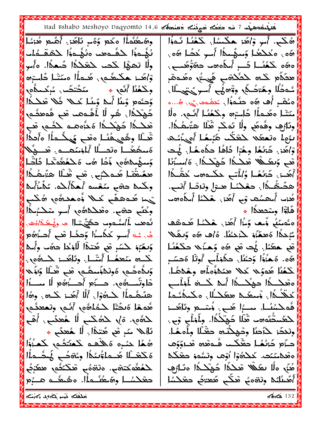Had Bshabo Meshoyo Daqyomto 14.6 مَسْتَعْلَمَ At Had Bshabo Meshoyo Daqyomto 14.6 ِّهُكُم، أَمِرٍ وْاهَٰذِ حَكْسُلَ. كَحُمُّا ثَـٰهُواْ وِرَهُ حَمْثُمَاً الْمَحْمَرِ وَمَّى لِلْأَهْزِ. أَصَّم هُزْسًا ىُؤْسَوُٰا لِحَفَّـٰءَمَد مَنُّهُـٰدُوا لِحَمَّفَـٰدُات ، هَءَ. هگَلَكُمُّا وُسَهُّسَدًّا أُسو خُصًّا هَهَ. ولًا تَعَهْلَ كَحَبَّ حَقَدَهُ! ضَعَهُ!. ه}ٌ و ەھُە ݣْݣْشْدا كَسِمْ أَبْلَاه ما دەئۋەتسىم. وْاهُد; هكْتْشُوب: هُـداً! مِنْتْدا دَّاتِرْ هدَكُم كَــهِ لحَكْدُه عَيْ مَعْــهِمْ وِكْعُ*نْا أَنُ*ى ﴾ مَتَضَبّ بُرِكَحِدُو بالمرض بدأ جذه؟ ولهجته ولها المحصر في المستقرر بساءً وَحدُه وَمِثْلا أَسْمَ وَسُل كَتَبَلا ۖ قُلاً مَحْتَـٰهُ! ه مُكْتِرِ أُفْ هُمْ حَلُّوَوُّلُ. مُحَقَّوتُ فِي. هُ... ه كُهْلَاكًا. هُرِ لًا أَفُ1مَت مْعِ فُ2هَيْمِ مَتْلَا هِ هَـٰـٰهُ اُلَـٰـٰبَ هِ حُـْمُنُـا أَنُـٰهِ. هِ اُلْـ وِنَارُهِ وِهُومَى وِلَا نَوكُمْ قَبْلَا هِتَمِيْهَا. مْكَــدًا حُهْكَــدًا مَدْءَمـه كِثّـه مْبَ لَّوْمِا مَتَعَفِّلا لِلْعَنِّفِ مَّبُعُا أَمِيَّئِك شَمَالُه الْمَكْرِمُ رَحْمَهِ لِلْمُرْمِثْهِ الْكُمُّ ەُمىھُھُــا ەتىـــاًا اْمازىئىمـــە . قىـــوْىلا وْاهَٰ: خَرْبُهُا وِهُرَا دَٰاهُا حِکَامِهُا. بُحِ وَسِيَٰٓىكِمُونَ وَجُلْ هُبِ هَكَـهُمَّتَـٰطِ كَلِّصَالِ هْمِ وَبِعَيْـلًا مِّنْـٰـٰٰهُ! كَهْنَـٰـٰهُ!. هَا مِّتَّنُا همُعَتْنَا هَـهِدُبِ . مْبِ مَّـْلَا هِتُمْهُاْ أَهَٰذٍ. خَرْبُهُمْ وُٱلْمَسِي حَكْسُوهِ حُقُسُواْ ولَكَمَا دَقْعٍ مُنْقَسَمَ أَهْلَأَلْكُمْ. تَذَكَّرُأَيْكَا هجَّمَّكُما. حمْحْمًا هـرًا وِتَرْضَا أَتْبٍ. يُسْتَمَّةُ مُوْجَعَةٌ مَسْتَمَّةٌ مِنْ مُحَمَّدَةٌ مِنْ مَنْ هُذَا أَحْقِشُفَ فِي أَهُدَ. هَكْنَا أَحَدُهُ مَنْ وِكْتُم حَتَّى. ەقْعَكْلَاڤُە أُسو سْكَبُرْلَمَا هُاوْٓا وسْعِعْدًا ﴾ هِ ثَمِنَٰىٰ وُّحِمَّا وَخُرَا أَهُنَ هَكْنَا هُـمِقْف نُه هم أَاامنُـهوم حكِّيَّـتَـال د وهُـعَـدَااهُ هـ. تْ: سْلا أُسِي كَذَّاسُوًّا وَحِكْلا قَبِ أَحِدُّوهُم تَبْحَدُا هَعَمَّزَو حَزَحْتُلْ. هُ/َ هَهُ وَيَكُلا وَبِمَّءٍ حَسَّرٍ هُجٍ هَتِمْا لَادْخَا حَسُّ وأَحا هْمِ هِعَمَا. يُد هُم هُه وَهِنَه حِكْمُنَا كْتُ مَعْمًا أَشَا. وِتَامَد كُتْبَ. ، هَمْ: وَحَسُّلٌ. حَكَّوْلُب أُوتُلُ هَحَسُرٍ وَٰلِدُّہِ شَمِہٖ ہُولِکاؤُسِطَّے ٖ شَیْ اُلَّا وَاؤُلا لْكَعُنًا هُدوَى لَا لَا مِنَكُمْؤُهِ أَنْ وَهْكُمَا. دْاوِتُكْرُهِ. ڪِئُمْ أُحِدُوهُمْ لَا مِصَدًا وقدحُمُ الحوكُمُ أَمَد حُسِينَ لَمُوْلَمِبِ هنَهُـهأا حدوُدًا. أَلَّا أَهُــز كَــره. وهُا كَتْݣُـدّْا. وْمكْـدْ مْكْكْـلّْا. مْكْـدْئْقْـمْ فُهكِسُلًا. مسْرًا هُبِي. وُسْطِ وِتَاهُـــز هُدهَا هَىضًا لِكُمُاهُورٍ أَنَّو وتَعْعَدُورٍ للطَّمتُنُه من تَمْلًا شَهْلُكُمُ ا. وأَوْلَى وَى: لْحَقُّومِ. قَالِ لَحْقُكُمْتِي لَا هُعْكُبٍ. أُفَّعِ ئَالَيْهِ مَـٰٓ مَن مُتَدَّا اللَّهُ مُعْمَى ﴾ وتَدَّدَ: حَذَّصًا وَحْمِحْتُـه حَقْـُاا وِلَمَعْـا. شُمُّا حَسُرِه مُلْأَقِدِ كَمِنَتْقَى كَمَنُوَّا حِزُم حُرْبُهُـا حَقْكُـب فُـومْدِه مْـرَوِّوُف مَكْتَسْأَلَا هُــدَاةُنْدُدُّا وِنُوْدُبِ لَمُدَّدَدُّاً ەھْكلىئىگە. كَلاھُوْا اُوْھ وِلْسُّەو كَعْلَالْكَلَّا مُنَى ولًا بِعَيْلًا مُحِكْمًا جَهْجَكُمًا وَيُبْلُوبُ لْمُعُمَّدَتْشَى. ەَنْقَەُمْ شَكْتَخُمْ مَكْبُرُمْ حَقَّلْمُسَا وِرَةَ حَقَّصَةُ الْمُتَعَفَّدَ عَنْزَمَ أَهَّىنُائِكَ وِنْتَوَى هُنَّكُم هُعْتَوَى حَقْلَـنُىل تَحْلُقُكُمْ مُوَّمِرٍ بِمَاجَةٍ بِمَاهَمَكُمْ  $\pi$ a $\leq$  132